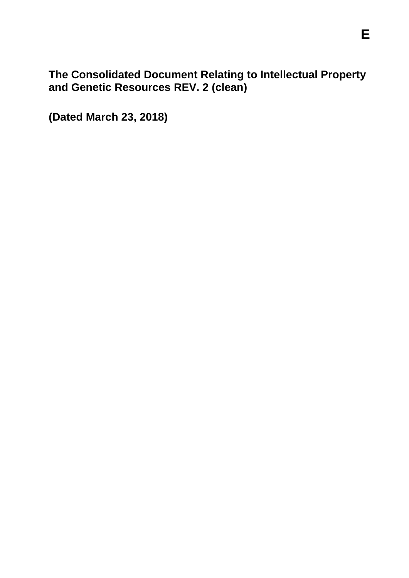**The Consolidated Document Relating to Intellectual Property and Genetic Resources REV. 2 (clean)**

**(Dated March 23, 2018)**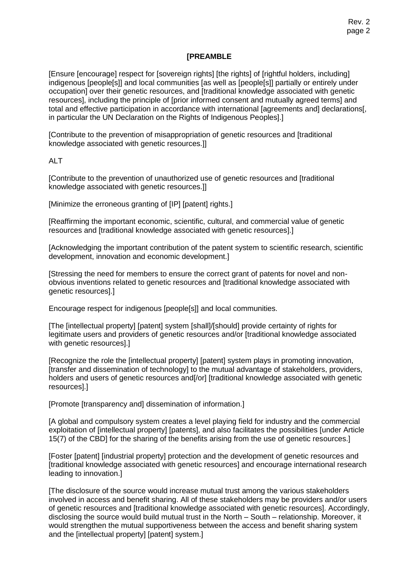#### **[PREAMBLE**

[Ensure [encourage] respect for [sovereign rights] [the rights] of [rightful holders, including] indigenous [people[s]] and local communities [as well as [people[s]] partially or entirely under occupation] over their genetic resources, and [traditional knowledge associated with genetic resources], including the principle of [prior informed consent and mutually agreed terms] and total and effective participation in accordance with international [agreements and] declarations[, in particular the UN Declaration on the Rights of Indigenous Peoples.

[Contribute to the prevention of misappropriation of genetic resources and [traditional knowledge associated with genetic resources.]]

ALT

[Contribute to the prevention of unauthorized use of genetic resources and [traditional knowledge associated with genetic resources.]]

[Minimize the erroneous granting of [IP] [patent] rights.]

[Reaffirming the important economic, scientific, cultural, and commercial value of genetic resources and [traditional knowledge associated with genetic resources].]

[Acknowledging the important contribution of the patent system to scientific research, scientific development, innovation and economic development.]

[Stressing the need for members to ensure the correct grant of patents for novel and nonobvious inventions related to genetic resources and [traditional knowledge associated with genetic resources].]

Encourage respect for indigenous [people[s]] and local communities.

[The [intellectual property] [patent] system [shall]/[should] provide certainty of rights for legitimate users and providers of genetic resources and/or [traditional knowledge associated with genetic resources].]

[Recognize the role the [intellectual property] [patent] system plays in promoting innovation, [transfer and dissemination of technology] to the mutual advantage of stakeholders, providers, holders and users of genetic resources and [/or] [traditional knowledge associated with genetic resources].]

[Promote [transparency and] dissemination of information.]

[A global and compulsory system creates a level playing field for industry and the commercial exploitation of [intellectual property] [patents], and also facilitates the possibilities [under Article 15(7) of the CBD] for the sharing of the benefits arising from the use of genetic resources.]

[Foster [patent] [industrial property] protection and the development of genetic resources and [traditional knowledge associated with genetic resources] and encourage international research leading to innovation.]

[The disclosure of the source would increase mutual trust among the various stakeholders involved in access and benefit sharing. All of these stakeholders may be providers and/or users of genetic resources and [traditional knowledge associated with genetic resources]. Accordingly, disclosing the source would build mutual trust in the North – South – relationship. Moreover, it would strengthen the mutual supportiveness between the access and benefit sharing system and the [intellectual property] [patent] system.]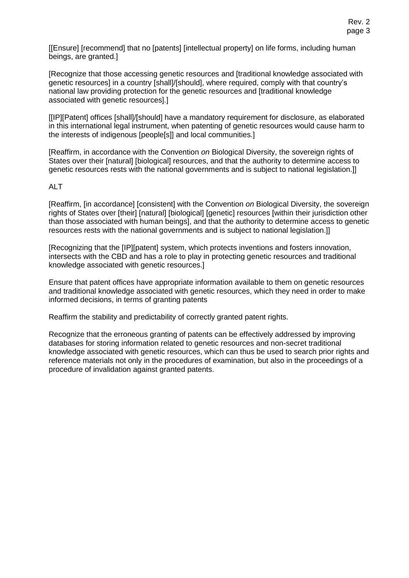[[Ensure] [recommend] that no [patents] [intellectual property] on life forms, including human beings, are granted.]

[Recognize that those accessing genetic resources and [traditional knowledge associated with genetic resources] in a country [shall]/[should], where required, comply with that country's national law providing protection for the genetic resources and [traditional knowledge associated with genetic resources].]

[[IP][Patent] offices [shall]/[should] have a mandatory requirement for disclosure, as elaborated in this international legal instrument, when patenting of genetic resources would cause harm to the interests of indigenous [people[s]] and local communities.]

[Reaffirm, in accordance with the Convention *on* Biological Diversity, the sovereign rights of States over their [natural] [biological] resources, and that the authority to determine access to genetic resources rests with the national governments and is subject to national legislation.]]

#### ALT

[Reaffirm, [in accordance] [consistent] with the Convention *on* Biological Diversity, the sovereign rights of States over [their] [natural] [biological] [genetic] resources [within their jurisdiction other than those associated with human beings], and that the authority to determine access to genetic resources rests with the national governments and is subject to national legislation.]]

[Recognizing that the [IP][patent] system, which protects inventions and fosters innovation, intersects with the CBD and has a role to play in protecting genetic resources and traditional knowledge associated with genetic resources.]

Ensure that patent offices have appropriate information available to them on genetic resources and traditional knowledge associated with genetic resources, which they need in order to make informed decisions, in terms of granting patents

Reaffirm the stability and predictability of correctly granted patent rights.

Recognize that the erroneous granting of patents can be effectively addressed by improving databases for storing information related to genetic resources and non-secret traditional knowledge associated with genetic resources, which can thus be used to search prior rights and reference materials not only in the procedures of examination, but also in the proceedings of a procedure of invalidation against granted patents.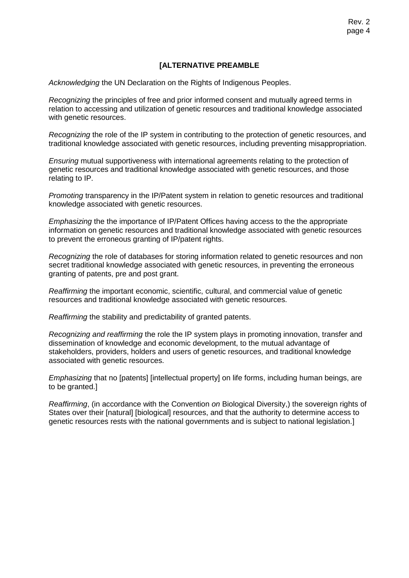#### **[ALTERNATIVE PREAMBLE**

*Acknowledging* the UN Declaration on the Rights of Indigenous Peoples.

*Recognizing* the principles of free and prior informed consent and mutually agreed terms in relation to accessing and utilization of genetic resources and traditional knowledge associated with genetic resources.

*Recognizing* the role of the IP system in contributing to the protection of genetic resources, and traditional knowledge associated with genetic resources, including preventing misappropriation.

*Ensuring* mutual supportiveness with international agreements relating to the protection of genetic resources and traditional knowledge associated with genetic resources, and those relating to IP.

*Promoting* transparency in the IP/Patent system in relation to genetic resources and traditional knowledge associated with genetic resources.

*Emphasizing* the the importance of IP/Patent Offices having access to the the appropriate information on genetic resources and traditional knowledge associated with genetic resources to prevent the erroneous granting of IP/patent rights.

*Recognizing* the role of databases for storing information related to genetic resources and non secret traditional knowledge associated with genetic resources, in preventing the erroneous granting of patents, pre and post grant.

*Reaffirming* the important economic, scientific, cultural, and commercial value of genetic resources and traditional knowledge associated with genetic resources.

*Reaffirming* the stability and predictability of granted patents.

*Recognizing and reaffirming* the role the IP system plays in promoting innovation, transfer and dissemination of knowledge and economic development, to the mutual advantage of stakeholders, providers, holders and users of genetic resources, and traditional knowledge associated with genetic resources.

*Emphasizing* that no [patents] [intellectual property] on life forms, including human beings, are to be granted.]

*Reaffirming*, (in accordance with the Convention *on* Biological Diversity,) the sovereign rights of States over their [natural] [biological] resources, and that the authority to determine access to genetic resources rests with the national governments and is subject to national legislation.]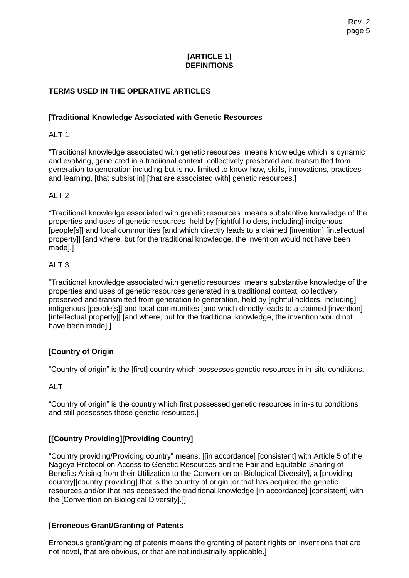#### **[ARTICLE 1] DEFINITIONS**

# **TERMS USED IN THE OPERATIVE ARTICLES**

#### **[Traditional Knowledge Associated with Genetic Resources**

# ALT 1

"Traditional knowledge associated with genetic resources" means knowledge which is dynamic and evolving, generated in a tradiional context, collectively preserved and transmitted from generation to generation including but is not limited to know-how, skills, innovations, practices and learning, [that subsist in] [that are associated with] genetic resources.]

#### ALT 2

"Traditional knowledge associated with genetic resources" means substantive knowledge of the properties and uses of genetic resources held by [rightful holders, including] indigenous [people[s]] and local communities [and which directly leads to a claimed [invention] [intellectual property]] [and where, but for the traditional knowledge, the invention would not have been made].]

#### ALT 3

"Traditional knowledge associated with genetic resources" means substantive knowledge of the properties and uses of genetic resources generated in a traditional context, collectively preserved and transmitted from generation to generation, held by [rightful holders, including] indigenous [people[s]] and local communities [and which directly leads to a claimed [invention] [intellectual property]] [and where, but for the traditional knowledge, the invention would not have been made].]

# **[Country of Origin**

"Country of origin" is the [first] country which possesses genetic resources in in-situ conditions.

ALT

"Country of origin" is the country which first possessed genetic resources in in-situ conditions and still possesses those genetic resources.]

# **[[Country Providing][Providing Country]**

"Country providing/Providing country" means, [[in accordance] [consistent] with Article 5 of the Nagoya Protocol on Access to Genetic Resources and the Fair and Equitable Sharing of Benefits Arising from their Utilization to the Convention on Biological Diversity], a [providing country][country providing] that is the country of origin [or that has acquired the genetic resources and/or that has accessed the traditional knowledge [in accordance] [consistent] with the [Convention on Biological Diversity].]]

# **[Erroneous Grant/Granting of Patents**

Erroneous grant/granting of patents means the granting of patent rights on inventions that are not novel, that are obvious, or that are not industrially applicable.]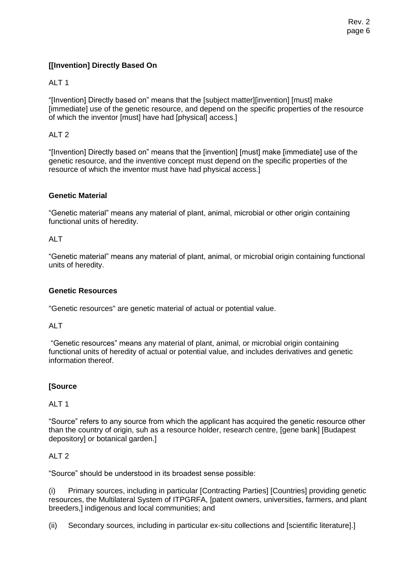# **[[Invention] Directly Based On**

# ALT 1

"[Invention] Directly based on" means that the [subject matter][invention] [must] make [immediate] use of the genetic resource, and depend on the specific properties of the resource of which the inventor [must] have had [physical] access.]

# ALT 2

"[Invention] Directly based on" means that the [invention] [must] make [immediate] use of the genetic resource, and the inventive concept must depend on the specific properties of the resource of which the inventor must have had physical access.]

#### **Genetic Material**

"Genetic material" means any material of plant, animal, microbial or other origin containing functional units of heredity.

### AI T

"Genetic material" means any material of plant, animal, or microbial origin containing functional units of heredity.

#### **Genetic Resources**

"Genetic resources" are genetic material of actual or potential value.

ALT

"Genetic resources" means any material of plant, animal, or microbial origin containing functional units of heredity of actual or potential value, and includes derivatives and genetic information thereof.

# **[Source**

#### ALT 1

"Source" refers to any source from which the applicant has acquired the genetic resource other than the country of origin, suh as a resource holder, research centre, [gene bank] [Budapest depository] or botanical garden.]

#### ALT 2

"Source" should be understood in its broadest sense possible:

(i) Primary sources, including in particular [Contracting Parties] [Countries] providing genetic resources, the Multilateral System of ITPGRFA, [patent owners, universities, farmers, and plant breeders,] indigenous and local communities; and

(ii) Secondary sources, including in particular ex-situ collections and [scientific literature].]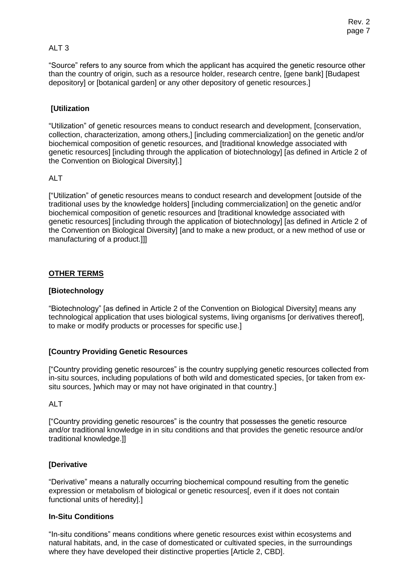# ALT 3

"Source" refers to any source from which the applicant has acquired the genetic resource other than the country of origin, such as a resource holder, research centre, [gene bank] [Budapest depository] or [botanical garden] or any other depository of genetic resources.]

# **[Utilization**

"Utilization" of genetic resources means to conduct research and development, [conservation, collection, characterization, among others,] [including commercialization] on the genetic and/or biochemical composition of genetic resources, and [traditional knowledge associated with genetic resources] [including through the application of biotechnology] [as defined in Article 2 of the Convention on Biological Diversity].]

#### AIT

["Utilization" of genetic resources means to conduct research and development [outside of the traditional uses by the knowledge holders] [including commercialization] on the genetic and/or biochemical composition of genetic resources and [traditional knowledge associated with genetic resources] [including through the application of biotechnology] [as defined in Article 2 of the Convention on Biological Diversity] [and to make a new product, or a new method of use or manufacturing of a product.]]]

#### **OTHER TERMS**

### **[Biotechnology**

"Biotechnology" [as defined in Article 2 of the Convention on Biological Diversity] means any technological application that uses biological systems, living organisms [or derivatives thereof], to make or modify products or processes for specific use.]

# **[Country Providing Genetic Resources**

["Country providing genetic resources" is the country supplying genetic resources collected from in-situ sources, including populations of both wild and domesticated species, [or taken from exsitu sources, ]which may or may not have originated in that country.]

#### ALT

["Country providing genetic resources" is the country that possesses the genetic resource and/or traditional knowledge in in situ conditions and that provides the genetic resource and/or traditional knowledge.]]

# **[Derivative**

"Derivative" means a naturally occurring biochemical compound resulting from the genetic expression or metabolism of biological or genetic resources[, even if it does not contain functional units of heredity].]

#### **In-Situ Conditions**

"In-situ conditions" means conditions where genetic resources exist within ecosystems and natural habitats, and, in the case of domesticated or cultivated species, in the surroundings where they have developed their distinctive properties [Article 2, CBD].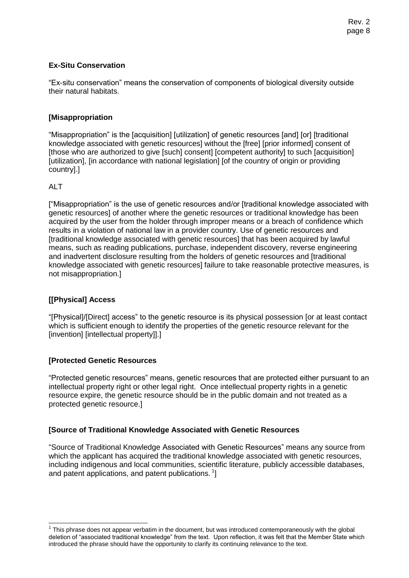### **Ex-Situ Conservation**

"Ex-situ conservation" means the conservation of components of biological diversity outside their natural habitats.

#### **[Misappropriation**

"Misappropriation" is the [acquisition] [utilization] of genetic resources [and] [or] [traditional knowledge associated with genetic resources] without the [free] [prior informed] consent of [those who are authorized to give [such] consent] [competent authority] to such [acquisition] [utilization], [in accordance with national legislation] [of the country of origin or providing country].]

#### AI T

j

["Misappropriation" is the use of genetic resources and/or [traditional knowledge associated with genetic resources] of another where the genetic resources or traditional knowledge has been acquired by the user from the holder through improper means or a breach of confidence which results in a violation of national law in a provider country. Use of genetic resources and [traditional knowledge associated with genetic resources] that has been acquired by lawful means, such as reading publications, purchase, independent discovery, reverse engineering and inadvertent disclosure resulting from the holders of genetic resources and [traditional knowledge associated with genetic resources] failure to take reasonable protective measures, is not misappropriation.]

# **[[Physical] Access**

"[Physical]/[Direct] access" to the genetic resource is its physical possession [or at least contact which is sufficient enough to identify the properties of the genetic resource relevant for the [invention] [intellectual property]].]

# **[Protected Genetic Resources**

"Protected genetic resources" means, genetic resources that are protected either pursuant to an intellectual property right or other legal right. Once intellectual property rights in a genetic resource expire, the genetic resource should be in the public domain and not treated as a protected genetic resource.]

# **[Source of Traditional Knowledge Associated with Genetic Resources**

"Source of Traditional Knowledge Associated with Genetic Resources" means any source from which the applicant has acquired the traditional knowledge associated with genetic resources, including indigenous and local communities, scientific literature, publicly accessible databases, and patent applications, and patent publications.  $^{1}$ ]

 $1$  This phrase does not appear verbatim in the document, but was introduced contemporaneously with the global deletion of "associated traditional knowledge" from the text. Upon reflection, it was felt that the Member State which introduced the phrase should have the opportunity to clarify its continuing relevance to the text.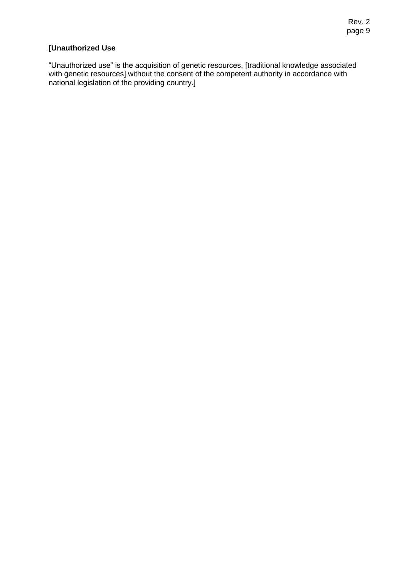# **[Unauthorized Use**

"Unauthorized use" is the acquisition of genetic resources, [traditional knowledge associated with genetic resources] without the consent of the competent authority in accordance with national legislation of the providing country.]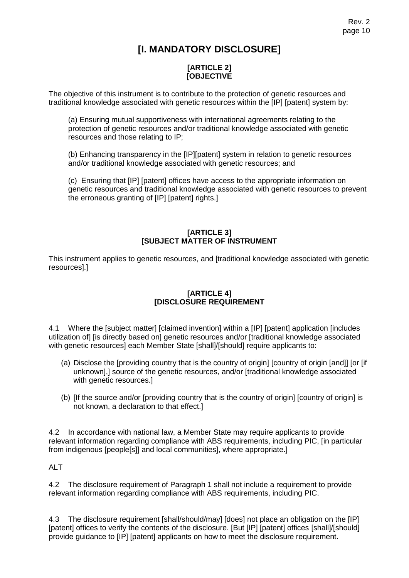# **[I. MANDATORY DISCLOSURE]**

# **[ARTICLE 2] [OBJECTIVE**

The objective of this instrument is to contribute to the protection of genetic resources and traditional knowledge associated with genetic resources within the [IP] [patent] system by:

(a) Ensuring mutual supportiveness with international agreements relating to the protection of genetic resources and/or traditional knowledge associated with genetic resources and those relating to IP;

(b) Enhancing transparency in the [IP][patent] system in relation to genetic resources and/or traditional knowledge associated with genetic resources; and

(c) Ensuring that [IP] [patent] offices have access to the appropriate information on genetic resources and traditional knowledge associated with genetic resources to prevent the erroneous granting of [IP] [patent] rights.]

# **[ARTICLE 3] [SUBJECT MATTER OF INSTRUMENT**

This instrument applies to genetic resources, and [traditional knowledge associated with genetic resources].]

# **[ARTICLE 4] [DISCLOSURE REQUIREMENT**

4.1 Where the [subject matter] [claimed invention] within a [IP] [patent] application [includes utilization of] [is directly based on] genetic resources and/or [traditional knowledge associated with genetic resources] each Member State [shall]/[should] require applicants to:

- (a) Disclose the [providing country that is the country of origin] [country of origin [and]] [or [if unknown],] source of the genetic resources, and/or [traditional knowledge associated with genetic resources.]
- (b) [If the source and/or [providing country that is the country of origin] [country of origin] is not known, a declaration to that effect.]

4.2 In accordance with national law, a Member State may require applicants to provide relevant information regarding compliance with ABS requirements, including PIC, [in particular from indigenous [people[s]] and local communities], where appropriate.]

ALT

4.2 The disclosure requirement of Paragraph 1 shall not include a requirement to provide relevant information regarding compliance with ABS requirements, including PIC.

4.3 The disclosure requirement [shall/should/may] [does] not place an obligation on the [IP] [patent] offices to verify the contents of the disclosure. [But [IP] [patent] offices [shall]/[should] provide guidance to [IP] [patent] applicants on how to meet the disclosure requirement.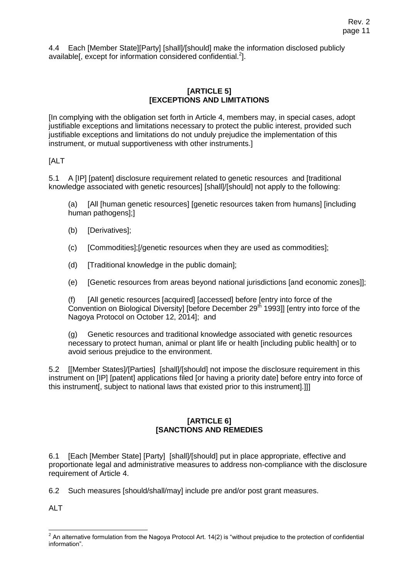4.4 Each [Member State][Party] [shall]/[should] make the information disclosed publicly available[, except for information considered confidential.<sup>2</sup>].

### **[ARTICLE 5] [EXCEPTIONS AND LIMITATIONS**

[In complying with the obligation set forth in Article 4, members may, in special cases, adopt justifiable exceptions and limitations necessary to protect the public interest, provided such justifiable exceptions and limitations do not unduly prejudice the implementation of this instrument, or mutual supportiveness with other instruments.]

[ALT

5.1 A [IP] [patent] disclosure requirement related to genetic resources and [traditional knowledge associated with genetic resources] [shall]/[should] not apply to the following:

(a) [All [human genetic resources] [genetic resources taken from humans] [including human pathogens];]

- (b) [Derivatives];
- (c) [Commodities];[/genetic resources when they are used as commodities];
- (d) [Traditional knowledge in the public domain];
- (e) [Genetic resources from areas beyond national jurisdictions [and economic zones]];

(f) [All genetic resources [acquired] [accessed] before [entry into force of the Convention on Biological Diversity] [before December 29<sup>th</sup> 1993]] [entry into force of the Nagoya Protocol on October 12, 2014]; and

(g) Genetic resources and traditional knowledge associated with genetic resources necessary to protect human, animal or plant life or health [including public health] or to avoid serious prejudice to the environment.

5.2 [[Member States]/[Parties] [shall]/[should] not impose the disclosure requirement in this instrument on [IP] [patent] applications filed [or having a priority date] before entry into force of this instrument[, subject to national laws that existed prior to this instrument].]]]

# **[ARTICLE 6] [SANCTIONS AND REMEDIES**

6.1 [Each [Member State] [Party] [shall]/[should] put in place appropriate, effective and proportionate legal and administrative measures to address non-compliance with the disclosure requirement of Article 4.

6.2 Such measures [should/shall/may] include pre and/or post grant measures.

AIT

 2 An alternative formulation from the Nagoya Protocol Art. 14(2) is "without prejudice to the protection of confidential information".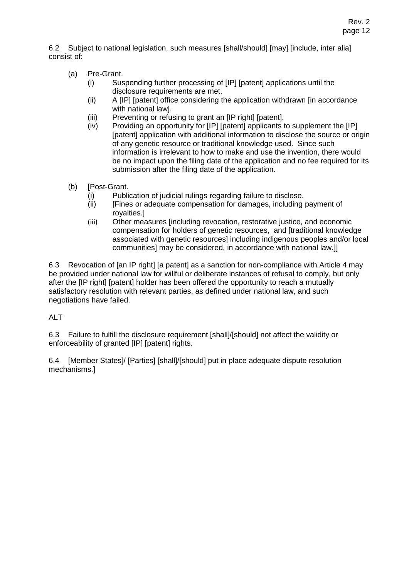6.2 Subject to national legislation, such measures [shall/should] [may] [include, inter alia] consist of:

- (a) Pre-Grant.
	- (i) Suspending further processing of [IP] [patent] applications until the disclosure requirements are met.
	- (ii) A [IP] [patent] office considering the application withdrawn [in accordance with national law].
	- (iii) Preventing or refusing to grant an [IP right] [patent].
	- (iv) Providing an opportunity for [IP] [patent] applicants to supplement the [IP] [patent] application with additional information to disclose the source or origin of any genetic resource or traditional knowledge used. Since such information is irrelevant to how to make and use the invention, there would be no impact upon the filing date of the application and no fee required for its submission after the filing date of the application.
- (b) [Post-Grant.
	- (i) Publication of judicial rulings regarding failure to disclose.
	- (ii) [Fines or adequate compensation for damages, including payment of royalties.]
	- (iii) Other measures [including revocation, restorative justice, and economic compensation for holders of genetic resources, and [traditional knowledge associated with genetic resources] including indigenous peoples and/or local communities] may be considered, in accordance with national law.]]

6.3 Revocation of [an IP right] [a patent] as a sanction for non-compliance with Article 4 may be provided under national law for willful or deliberate instances of refusal to comply, but only after the [IP right] [patent] holder has been offered the opportunity to reach a mutually satisfactory resolution with relevant parties, as defined under national law, and such negotiations have failed.

# ALT

6.3 Failure to fulfill the disclosure requirement [shall]/[should] not affect the validity or enforceability of granted [IP] [patent] rights.

6.4 [Member States]/ [Parties] [shall]/[should] put in place adequate dispute resolution mechanisms.]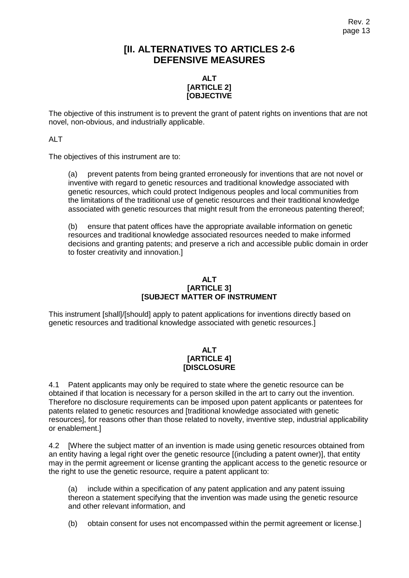# **[II. ALTERNATIVES TO ARTICLES 2-6 DEFENSIVE MEASURES**

#### **ALT [ARTICLE 2] [OBJECTIVE**

The objective of this instrument is to prevent the grant of patent rights on inventions that are not novel, non-obvious, and industrially applicable.

ALT

The objectives of this instrument are to:

(a) prevent patents from being granted erroneously for inventions that are not novel or inventive with regard to genetic resources and traditional knowledge associated with genetic resources, which could protect Indigenous peoples and local communities from the limitations of the traditional use of genetic resources and their traditional knowledge associated with genetic resources that might result from the erroneous patenting thereof;

(b) ensure that patent offices have the appropriate available information on genetic resources and traditional knowledge associated resources needed to make informed decisions and granting patents; and preserve a rich and accessible public domain in order to foster creativity and innovation.]

#### **ALT [ARTICLE 3] [SUBJECT MATTER OF INSTRUMENT**

This instrument [shall]/[should] apply to patent applications for inventions directly based on genetic resources and traditional knowledge associated with genetic resources.]

#### **ALT [ARTICLE 4] [DISCLOSURE**

4.1 Patent applicants may only be required to state where the genetic resource can be obtained if that location is necessary for a person skilled in the art to carry out the invention. Therefore no disclosure requirements can be imposed upon patent applicants or patentees for patents related to genetic resources and [traditional knowledge associated with genetic resources], for reasons other than those related to novelty, inventive step, industrial applicability or enablement.]

4.2 [Where the subject matter of an invention is made using genetic resources obtained from an entity having a legal right over the genetic resource [(including a patent owner)], that entity may in the permit agreement or license granting the applicant access to the genetic resource or the right to use the genetic resource, require a patent applicant to:

(a) include within a specification of any patent application and any patent issuing thereon a statement specifying that the invention was made using the genetic resource and other relevant information, and

(b) obtain consent for uses not encompassed within the permit agreement or license.]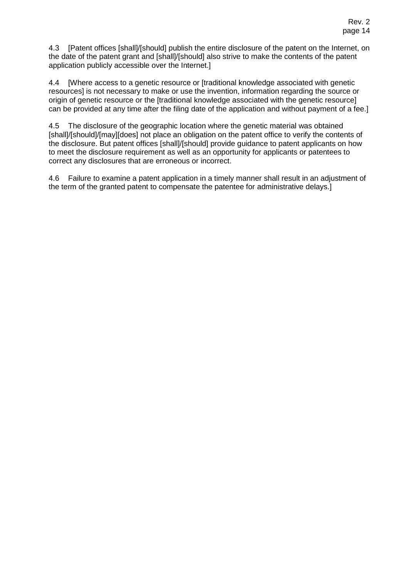4.3 [Patent offices [shall]/[should] publish the entire disclosure of the patent on the Internet, on the date of the patent grant and [shall]/[should] also strive to make the contents of the patent application publicly accessible over the Internet.]

4.4 [Where access to a genetic resource or [traditional knowledge associated with genetic resources] is not necessary to make or use the invention, information regarding the source or origin of genetic resource or the [traditional knowledge associated with the genetic resource] can be provided at any time after the filing date of the application and without payment of a fee.]

4.5 The disclosure of the geographic location where the genetic material was obtained [shall]/[should]/[may][does] not place an obligation on the patent office to verify the contents of the disclosure. But patent offices [shall]/[should] provide guidance to patent applicants on how to meet the disclosure requirement as well as an opportunity for applicants or patentees to correct any disclosures that are erroneous or incorrect.

4.6 Failure to examine a patent application in a timely manner shall result in an adjustment of the term of the granted patent to compensate the patentee for administrative delays.]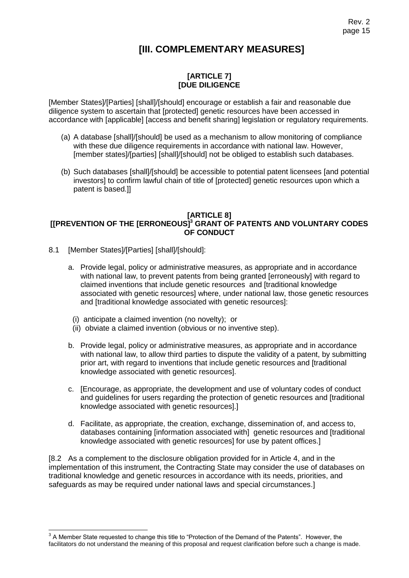# **[III. COMPLEMENTARY MEASURES]**

### **[ARTICLE 7] [DUE DILIGENCE**

[Member States]/[Parties] [shall]/[should] encourage or establish a fair and reasonable due diligence system to ascertain that [protected] genetic resources have been accessed in accordance with [applicable] [access and benefit sharing] legislation or regulatory requirements.

- (a) A database [shall]/[should] be used as a mechanism to allow monitoring of compliance with these due diligence requirements in accordance with national law. However, [member states]/[parties] [shall]/[should] not be obliged to establish such databases.
- (b) Such databases [shall]/[should] be accessible to potential patent licensees [and potential investors] to confirm lawful chain of title of [protected] genetic resources upon which a patent is based.]]

#### **[ARTICLE 8] [[PREVENTION OF THE [ERRONEOUS] <sup>3</sup> GRANT OF PATENTS AND VOLUNTARY CODES OF CONDUCT**

- 8.1 [Member States]/[Parties] [shall]/[should]:
	- a. Provide legal, policy or administrative measures, as appropriate and in accordance with national law, to prevent patents from being granted [erroneously] with regard to claimed inventions that include genetic resources and [traditional knowledge associated with genetic resources] where, under national law, those genetic resources and [traditional knowledge associated with genetic resources]:
	- (i) anticipate a claimed invention (no novelty); or
	- (ii) obviate a claimed invention (obvious or no inventive step).
	- b. Provide legal, policy or administrative measures, as appropriate and in accordance with national law, to allow third parties to dispute the validity of a patent, by submitting prior art, with regard to inventions that include genetic resources and [traditional knowledge associated with genetic resources].
	- c. [Encourage, as appropriate, the development and use of voluntary codes of conduct and guidelines for users regarding the protection of genetic resources and [traditional knowledge associated with genetic resources].]
	- d. Facilitate, as appropriate, the creation, exchange, dissemination of, and access to, databases containing [information associated with] genetic resources and [traditional knowledge associated with genetic resources] for use by patent offices.]

[8.2 As a complement to the disclosure obligation provided for in Article 4, and in the implementation of this instrument, the Contracting State may consider the use of databases on traditional knowledge and genetic resources in accordance with its needs, priorities, and safeguards as may be required under national laws and special circumstances.]

A Member State requested to change this title to "Protection of the Demand of the Patents". However, the 3 A Member State requested to change this title to "Protection of the Demand of the Patents". However, the facilitators do not understand the meaning of this proposal and request clarification before such a change is made.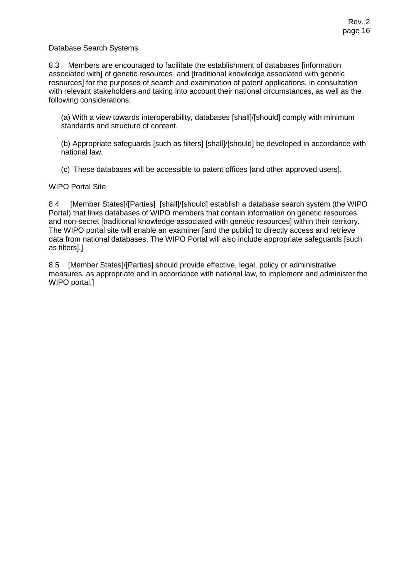#### Database Search Systems

8.3 Members are encouraged to facilitate the establishment of databases [information associated with] of genetic resources and [traditional knowledge associated with genetic resources] for the purposes of search and examination of patent applications, in consultation with relevant stakeholders and taking into account their national circumstances, as well as the following considerations:

(a) With a view towards interoperability, databases [shall]/[should] comply with minimum standards and structure of content.

(b) Appropriate safeguards [such as filters] [shall]/[should] be developed in accordance with national law.

(c) These databases will be accessible to patent offices [and other approved users].

#### WIPO Portal Site

8.4 [Member States]/[Parties] [shall]/[should] establish a database search system (the WIPO Portal) that links databases of WIPO members that contain information on genetic resources and non-secret [traditional knowledge associated with genetic resources] within their territory. The WIPO portal site will enable an examiner [and the public] to directly access and retrieve data from national databases. The WIPO Portal will also include appropriate safeguards [such as filters].]

8.5 [Member States]/[Parties] should provide effective, legal, policy or administrative measures, as appropriate and in accordance with national law, to implement and administer the WIPO portal.]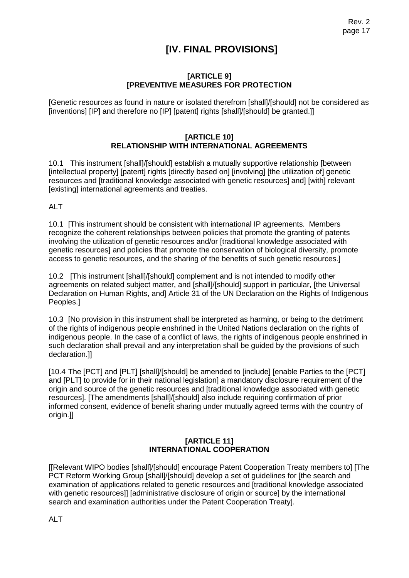# **[IV. FINAL PROVISIONS]**

#### **[ARTICLE 9] [PREVENTIVE MEASURES FOR PROTECTION**

[Genetic resources as found in nature or isolated therefrom [shall]/[should] not be considered as [inventions] [IP] and therefore no [IP] [patent] rights [shall]/[should] be granted.]]

#### **[ARTICLE 10] RELATIONSHIP WITH INTERNATIONAL AGREEMENTS**

10.1 This instrument [shall]/[should] establish a mutually supportive relationship [between [intellectual property] [patent] rights [directly based on] [involving] [the utilization of] genetic resources and [traditional knowledge associated with genetic resources] and] [with] relevant [existing] international agreements and treaties.

ALT

10.1 [This instrument should be consistent with international IP agreements. Members recognize the coherent relationships between policies that promote the granting of patents involving the utilization of genetic resources and/or [traditional knowledge associated with genetic resources] and policies that promote the conservation of biological diversity, promote access to genetic resources, and the sharing of the benefits of such genetic resources.]

10.2 [This instrument [shall]/[should] complement and is not intended to modify other agreements on related subject matter, and [shall]/[should] support in particular, [the Universal Declaration on Human Rights, and] Article 31 of the UN Declaration on the Rights of Indigenous Peoples.]

10.3 [No provision in this instrument shall be interpreted as harming, or being to the detriment of the rights of indigenous people enshrined in the United Nations declaration on the rights of indigenous people. In the case of a conflict of laws, the rights of indigenous people enshrined in such declaration shall prevail and any interpretation shall be guided by the provisions of such declaration.]]

[10.4 The [PCT] and [PLT] [shall]/[should] be amended to [include] [enable Parties to the [PCT] and [PLT] to provide for in their national legislation] a mandatory disclosure requirement of the origin and source of the genetic resources and [traditional knowledge associated with genetic resources]. [The amendments [shall]/[should] also include requiring confirmation of prior informed consent, evidence of benefit sharing under mutually agreed terms with the country of origin.]]

#### **[ARTICLE 11] INTERNATIONAL COOPERATION**

[[Relevant WIPO bodies [shall]/[should] encourage Patent Cooperation Treaty members to] [The PCT Reform Working Group [shall]/[should] develop a set of guidelines for [the search and examination of applications related to genetic resources and [traditional knowledge associated with genetic resources]] [administrative disclosure of origin or source] by the international search and examination authorities under the Patent Cooperation Treaty].